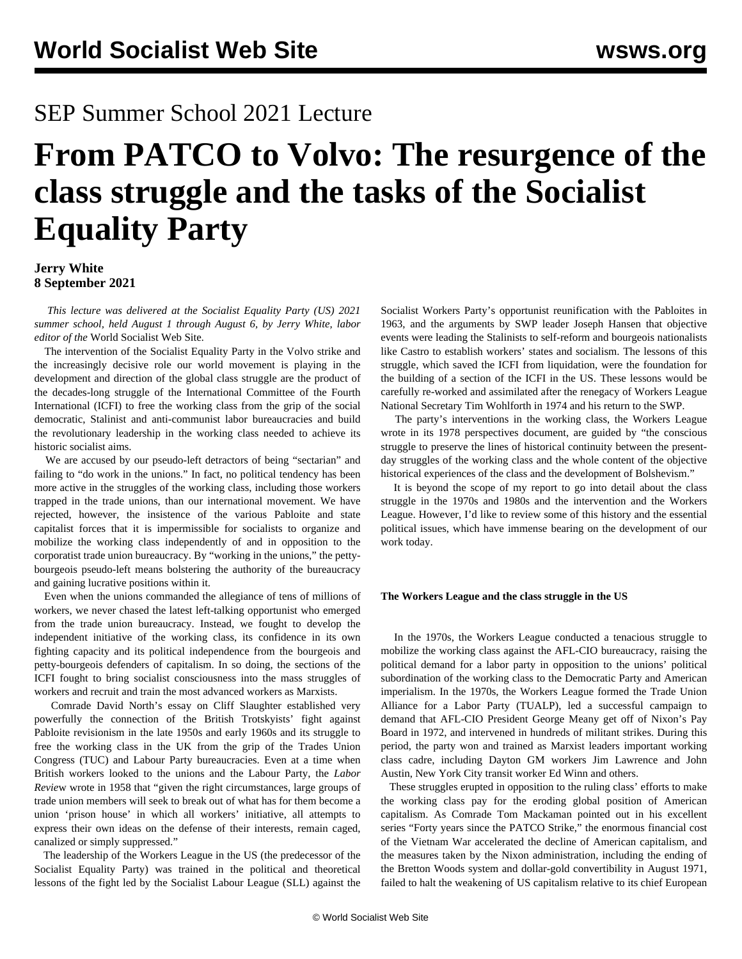## SEP Summer School 2021 Lecture

# **From PATCO to Volvo: The resurgence of the class struggle and the tasks of the Socialist Equality Party**

#### **Jerry White 8 September 2021**

 *This lecture was delivered at the Socialist Equality Party (US) 2021 summer school, held August 1 through August 6, by Jerry White, labor editor of the* World Socialist Web Site*.*

 The intervention of the Socialist Equality Party in the Volvo strike and the increasingly decisive role our world movement is playing in the development and direction of the global class struggle are the product of the decades-long struggle of the International Committee of the Fourth International (ICFI) to free the working class from the grip of the social democratic, Stalinist and anti-communist labor bureaucracies and build the revolutionary leadership in the working class needed to achieve its historic socialist aims.

 We are accused by our pseudo-left detractors of being "sectarian" and failing to "do work in the unions." In fact, no political tendency has been more active in the struggles of the working class, including those workers trapped in the trade unions, than our international movement. We have rejected, however, the insistence of the various Pabloite and state capitalist forces that it is impermissible for socialists to organize and mobilize the working class independently of and in opposition to the corporatist trade union bureaucracy. By "working in the unions," the pettybourgeois pseudo-left means bolstering the authority of the bureaucracy and gaining lucrative positions within it.

 Even when the unions commanded the allegiance of tens of millions of workers, we never chased the latest left-talking opportunist who emerged from the trade union bureaucracy. Instead, we fought to develop the independent initiative of the working class, its confidence in its own fighting capacity and its political independence from the bourgeois and petty-bourgeois defenders of capitalism. In so doing, the sections of the ICFI fought to bring socialist consciousness into the mass struggles of workers and recruit and train the most advanced workers as Marxists.

 Comrade David North's [essay](/en/articles/2021/08/05/slau-a05.html) on Cliff Slaughter established very powerfully the connection of the British Trotskyists' fight against Pabloite revisionism in the late 1950s and early 1960s and its struggle to free the working class in the UK from the grip of the Trades Union Congress (TUC) and Labour Party bureaucracies. Even at a time when British workers looked to the unions and the Labour Party, the *Labor Revie*w wrote in 1958 that "given the right circumstances, large groups of trade union members will seek to break out of what has for them become a union 'prison house' in which all workers' initiative, all attempts to express their own ideas on the defense of their interests, remain caged, canalized or simply suppressed."

 The leadership of the Workers League in the US (the predecessor of the Socialist Equality Party) was trained in the political and theoretical lessons of the fight led by the Socialist Labour League (SLL) against the

Socialist Workers Party's opportunist reunification with the Pabloites in 1963, and the arguments by SWP leader Joseph Hansen that objective events were leading the Stalinists to self-reform and bourgeois nationalists like Castro to establish workers' states and socialism. The lessons of this struggle, which saved the ICFI from liquidation, were the foundation for the building of a section of the ICFI in the US. These lessons would be carefully re-worked and assimilated after the renegacy of Workers League National Secretary Tim Wohlforth in 1974 and his return to the SWP.

 The party's interventions in the working class, the Workers League wrote in its 1978 perspectives document, are guided by "the conscious struggle to preserve the lines of historical continuity between the presentday struggles of the working class and the whole content of the objective historical experiences of the class and the development of Bolshevism."

 It is beyond the scope of my report to go into detail about the class struggle in the 1970s and 1980s and the intervention and the Workers League. However, I'd like to review some of this history and the essential political issues, which have immense bearing on the development of our work today.

#### **The Workers League and the class struggle in the US**

 In the 1970s, the Workers League conducted a tenacious struggle to mobilize the working class against the AFL-CIO bureaucracy, raising the political demand for a labor party in opposition to the unions' political subordination of the working class to the Democratic Party and American imperialism. In the 1970s, the Workers League formed the Trade Union Alliance for a Labor Party (TUALP), led a successful campaign to demand that AFL-CIO President George Meany get off of Nixon's Pay Board in 1972, and intervened in hundreds of militant strikes. During this period, the party won and trained as Marxist leaders important working class cadre, including Dayton GM workers Jim Lawrence and John Austin, New York City transit worker Ed Winn and others.

 These struggles erupted in opposition to the ruling class' efforts to make the working class pay for the eroding global position of American capitalism. As Comrade Tom Mackaman pointed out in his excellent [series](/en/articles/2021/08/03/patc-a03.html) "Forty years since the PATCO Strike," the enormous financial cost of the Vietnam War accelerated the decline of American capitalism, and the measures taken by the Nixon administration, including the ending of the Bretton Woods system and dollar-gold convertibility in August 1971, failed to halt the weakening of US capitalism relative to its chief European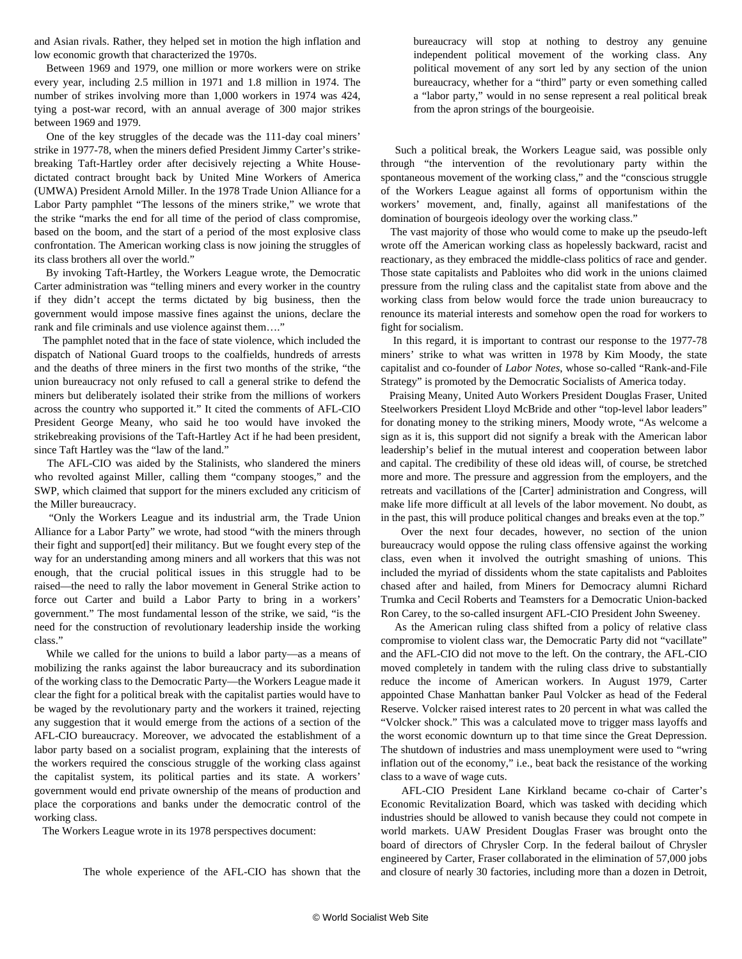and Asian rivals. Rather, they helped set in motion the high inflation and low economic growth that characterized the 1970s.

 Between 1969 and 1979, one million or more workers were on strike every year, including 2.5 million in 1971 and 1.8 million in 1974. The number of strikes involving more than 1,000 workers in 1974 was 424, tying a post-war record, with an annual average of 300 major strikes between 1969 and 1979.

 One of the key struggles of the decade was the 111-day coal miners' strike in 1977-78, when the miners defied President Jimmy Carter's strikebreaking Taft-Hartley order after decisively rejecting a White Housedictated contract brought back by United Mine Workers of America (UMWA) President Arnold Miller. In the 1978 Trade Union Alliance for a Labor Party pamphlet "The lessons of the miners strike," we wrote that the strike "marks the end for all time of the period of class compromise, based on the boom, and the start of a period of the most explosive class confrontation. The American working class is now joining the struggles of its class brothers all over the world."

 By invoking Taft-Hartley, the Workers League wrote, the Democratic Carter administration was "telling miners and every worker in the country if they didn't accept the terms dictated by big business, then the government would impose massive fines against the unions, declare the rank and file criminals and use violence against them…."

 The pamphlet noted that in the face of state violence, which included the dispatch of National Guard troops to the coalfields, hundreds of arrests and the deaths of three miners in the first two months of the strike, "the union bureaucracy not only refused to call a general strike to defend the miners but deliberately isolated their strike from the millions of workers across the country who supported it." It cited the comments of AFL-CIO President George Meany, who said he too would have invoked the strikebreaking provisions of the Taft-Hartley Act if he had been president, since Taft Hartley was the "law of the land."

 The AFL-CIO was aided by the Stalinists, who slandered the miners who revolted against Miller, calling them "company stooges," and the SWP, which claimed that support for the miners excluded any criticism of the Miller bureaucracy.

 "Only the Workers League and its industrial arm, the Trade Union Alliance for a Labor Party" we wrote, had stood "with the miners through their fight and support[ed] their militancy. But we fought every step of the way for an understanding among miners and all workers that this was not enough, that the crucial political issues in this struggle had to be raised—the need to rally the labor movement in General Strike action to force out Carter and build a Labor Party to bring in a workers' government." The most fundamental lesson of the strike, we said, "is the need for the construction of revolutionary leadership inside the working class."

 While we called for the unions to build a labor party—as a means of mobilizing the ranks against the labor bureaucracy and its subordination of the working class to the Democratic Party—the Workers League made it clear the fight for a political break with the capitalist parties would have to be waged by the revolutionary party and the workers it trained, rejecting any suggestion that it would emerge from the actions of a section of the AFL-CIO bureaucracy. Moreover, we advocated the establishment of a labor party based on a socialist program, explaining that the interests of the workers required the conscious struggle of the working class against the capitalist system, its political parties and its state. A workers' government would end private ownership of the means of production and place the corporations and banks under the democratic control of the working class.

The Workers League wrote in its 1978 perspectives document:

The whole experience of the AFL-CIO has shown that the

bureaucracy will stop at nothing to destroy any genuine independent political movement of the working class. Any political movement of any sort led by any section of the union bureaucracy, whether for a "third" party or even something called a "labor party," would in no sense represent a real political break from the apron strings of the bourgeoisie.

 Such a political break, the Workers League said, was possible only through "the intervention of the revolutionary party within the spontaneous movement of the working class," and the "conscious struggle of the Workers League against all forms of opportunism within the workers' movement, and, finally, against all manifestations of the domination of bourgeois ideology over the working class."

 The vast majority of those who would come to make up the pseudo-left wrote off the American working class as hopelessly backward, racist and reactionary, as they embraced the middle-class politics of race and gender. Those state capitalists and Pabloites who did work in the unions claimed pressure from the ruling class and the capitalist state from above and the working class from below would force the trade union bureaucracy to renounce its material interests and somehow open the road for workers to fight for socialism.

 In this regard, it is important to contrast our response to the 1977-78 miners' strike to what was written in 1978 by Kim Moody, the state capitalist and co-founder of *Labor Notes*, whose so-called "Rank-and-File Strategy" is promoted by the Democratic Socialists of America today.

 Praising Meany, United Auto Workers President Douglas Fraser, United Steelworkers President Lloyd McBride and other "top-level labor leaders" for donating money to the striking miners, Moody wrote, "As welcome a sign as it is, this support did not signify a break with the American labor leadership's belief in the mutual interest and cooperation between labor and capital. The credibility of these old ideas will, of course, be stretched more and more. The pressure and aggression from the employers, and the retreats and vacillations of the [Carter] administration and Congress, will make life more difficult at all levels of the labor movement. No doubt, as in the past, this will produce political changes and breaks even at the top."

 Over the next four decades, however, no section of the union bureaucracy would oppose the ruling class offensive against the working class, even when it involved the outright smashing of unions. This included the myriad of dissidents whom the state capitalists and Pabloites chased after and hailed, from Miners for Democracy alumni Richard Trumka and Cecil Roberts and Teamsters for a Democratic Union-backed Ron Carey, to the so-called insurgent AFL-CIO President John Sweeney.

 As the American ruling class shifted from a policy of relative class compromise to violent class war, the Democratic Party did not "vacillate" and the AFL-CIO did not move to the left. On the contrary, the AFL-CIO moved completely in tandem with the ruling class drive to substantially reduce the income of American workers. In August 1979, Carter appointed Chase Manhattan banker Paul Volcker as head of the Federal Reserve. Volcker raised interest rates to 20 percent in what was called the "Volcker shock." This was a calculated move to trigger mass layoffs and the worst economic downturn up to that time since the Great Depression. The shutdown of industries and mass unemployment were used to "wring inflation out of the economy," i.e., beat back the resistance of the working class to a wave of wage cuts.

 AFL-CIO President Lane Kirkland became co-chair of Carter's Economic Revitalization Board, which was tasked with deciding which industries should be allowed to vanish because they could not compete in world markets. UAW President Douglas Fraser was brought onto the board of directors of Chrysler Corp. In the federal bailout of Chrysler engineered by Carter, Fraser collaborated in the elimination of 57,000 jobs and closure of nearly 30 factories, including more than a dozen in Detroit,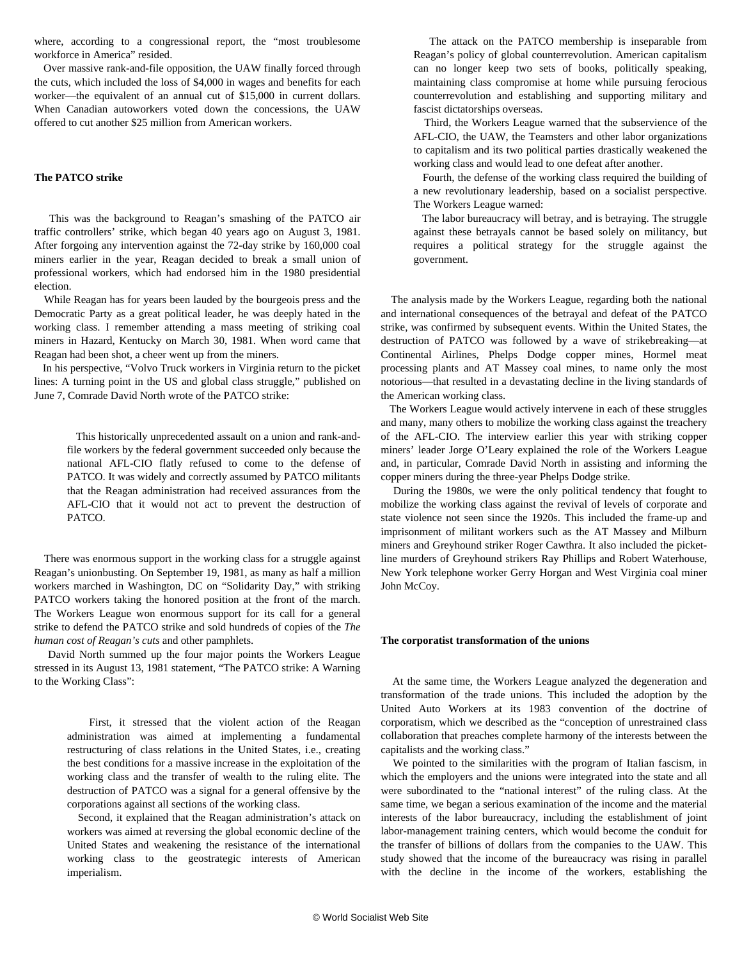where, according to a congressional report, the "most troublesome workforce in America" resided.

 Over massive rank-and-file opposition, the UAW finally forced through the cuts, which included the loss of \$4,000 in wages and benefits for each worker—the equivalent of an annual cut of \$15,000 in current dollars. When Canadian autoworkers voted down the concessions, the UAW offered to cut another \$25 million from American workers.

#### **The PATCO strike**

 This was the background to Reagan's smashing of the PATCO air traffic controllers' strike, which began 40 years ago on August 3, 1981. After forgoing any intervention against the 72-day strike by 160,000 coal miners earlier in the year, Reagan decided to break a small union of professional workers, which had endorsed him in the 1980 presidential election.

 While Reagan has for years been lauded by the bourgeois press and the Democratic Party as a great political leader, he was deeply hated in the working class. I remember attending a mass meeting of striking coal miners in Hazard, Kentucky on March 30, 1981. When word came that Reagan had been shot, a cheer went up from the miners.

 In his perspective, "[Volvo Truck workers in Virginia return to the picket](/en/articles/2021/06/08/pers-j08.html) [lines: A turning point in the US and global class struggle](/en/articles/2021/06/08/pers-j08.html)," published on June 7, Comrade David North wrote of the PATCO strike:

 This historically unprecedented assault on a union and rank-andfile workers by the federal government succeeded only because the national AFL-CIO flatly refused to come to the defense of PATCO. It was widely and correctly assumed by PATCO militants that the Reagan administration had received assurances from the AFL-CIO that it would not act to prevent the destruction of PATCO.

 There was enormous support in the working class for a struggle against Reagan's unionbusting. On September 19, 1981, as many as half a million workers marched in Washington, DC on "Solidarity Day," with striking PATCO workers taking the honored position at the front of the march. The Workers League won enormous support for its call for a general strike to defend the PATCO strike and sold hundreds of copies of the *The human cost of Reagan's cuts* and other pamphlets.

 David North summed up the four major points the Workers League stressed in its August 13, 1981 statement, "The PATCO strike: A Warning to the Working Class":

 First, it stressed that the violent action of the Reagan administration was aimed at implementing a fundamental restructuring of class relations in the United States, i.e., creating the best conditions for a massive increase in the exploitation of the working class and the transfer of wealth to the ruling elite. The destruction of PATCO was a signal for a general offensive by the corporations against all sections of the working class.

 Second, it explained that the Reagan administration's attack on workers was aimed at reversing the global economic decline of the United States and weakening the resistance of the international working class to the geostrategic interests of American imperialism.

 The attack on the PATCO membership is inseparable from Reagan's policy of global counterrevolution. American capitalism can no longer keep two sets of books, politically speaking, maintaining class compromise at home while pursuing ferocious counterrevolution and establishing and supporting military and fascist dictatorships overseas.

 Third, the Workers League warned that the subservience of the AFL-CIO, the UAW, the Teamsters and other labor organizations to capitalism and its two political parties drastically weakened the working class and would lead to one defeat after another.

 Fourth, the defense of the working class required the building of a new revolutionary leadership, based on a socialist perspective. The Workers League warned:

 The labor bureaucracy will betray, and is betraying. The struggle against these betrayals cannot be based solely on militancy, but requires a political strategy for the struggle against the government.

 The analysis made by the Workers League, regarding both the national and international consequences of the betrayal and defeat of the PATCO strike, was confirmed by subsequent events. Within the United States, the destruction of PATCO was followed by a wave of strikebreaking—at Continental Airlines, Phelps Dodge copper mines, Hormel meat processing plants and AT Massey coal mines, to name only the most notorious—that resulted in a devastating decline in the living standards of the American working class.

 The Workers League would actively intervene in each of these struggles and many, many others to mobilize the working class against the treachery of the AFL-CIO. The interview earlier this year with striking copper miners' leader Jorge O'Leary explained the role of the Workers League and, in particular, Comrade David North in assisting and informing the copper miners during the three-year Phelps Dodge strike.

 During the 1980s, we were the only political tendency that fought to mobilize the working class against the revival of levels of corporate and state violence not seen since the 1920s. This included the frame-up and imprisonment of militant workers such as the AT Massey and Milburn miners and Greyhound striker Roger Cawthra. It also included the picketline murders of Greyhound strikers Ray Phillips and Robert Waterhouse, New York telephone worker Gerry Horgan and West Virginia coal miner John McCoy.

#### **The corporatist transformation of the unions**

 At the same time, the Workers League analyzed the degeneration and transformation of the trade unions. This included the adoption by the United Auto Workers at its 1983 convention of the doctrine of corporatism, which we described as the "conception of unrestrained class collaboration that preaches complete harmony of the interests between the capitalists and the working class."

 We pointed to the similarities with the program of Italian fascism, in which the employers and the unions were integrated into the state and all were subordinated to the "national interest" of the ruling class. At the same time, we began a serious examination of the income and the material interests of the labor bureaucracy, including the establishment of joint labor-management training centers, which would become the conduit for the transfer of billions of dollars from the companies to the UAW. This study showed that the income of the bureaucracy was rising in parallel with the decline in the income of the workers, establishing the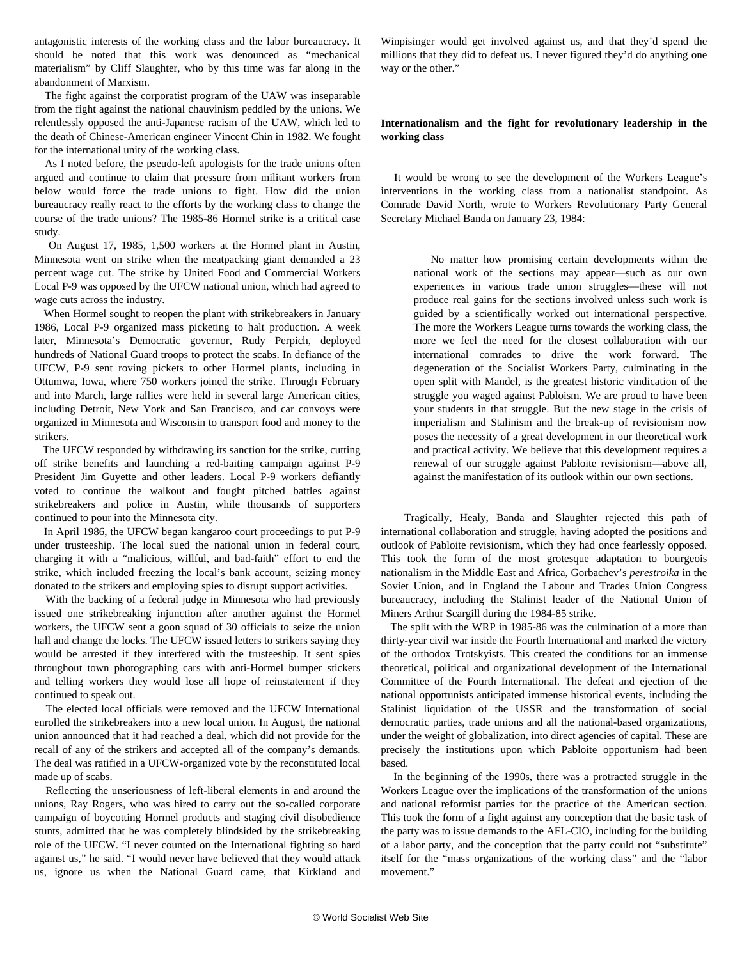antagonistic interests of the working class and the labor bureaucracy. It should be noted that this work was denounced as "mechanical materialism" by Cliff Slaughter, who by this time was far along in the abandonment of Marxism.

 The fight against the corporatist program of the UAW was inseparable from the fight against the national chauvinism peddled by the unions. We relentlessly opposed the anti-Japanese racism of the UAW, which led to the death of Chinese-American engineer Vincent Chin in 1982. We fought for the international unity of the working class.

 As I noted before, the pseudo-left apologists for the trade unions often argued and continue to claim that pressure from militant workers from below would force the trade unions to fight. How did the union bureaucracy really react to the efforts by the working class to change the course of the trade unions? The 1985-86 Hormel strike is a critical case study.

 On August 17, 1985, 1,500 workers at the Hormel plant in Austin, Minnesota went on strike when the meatpacking giant demanded a 23 percent wage cut. The strike by United Food and Commercial Workers Local P-9 was opposed by the UFCW national union, which had agreed to wage cuts across the industry.

 When Hormel sought to reopen the plant with strikebreakers in January 1986, Local P-9 organized mass picketing to halt production. A week later, Minnesota's Democratic governor, Rudy Perpich, deployed hundreds of National Guard troops to protect the scabs. In defiance of the UFCW, P-9 sent roving pickets to other Hormel plants, including in Ottumwa, Iowa, where 750 workers joined the strike. Through February and into March, large rallies were held in several large American cities, including Detroit, New York and San Francisco, and car convoys were organized in Minnesota and Wisconsin to transport food and money to the strikers.

 The UFCW responded by withdrawing its sanction for the strike, cutting off strike benefits and launching a red-baiting campaign against P-9 President Jim Guyette and other leaders. Local P-9 workers defiantly voted to continue the walkout and fought pitched battles against strikebreakers and police in Austin, while thousands of supporters continued to pour into the Minnesota city.

 In April 1986, the UFCW began kangaroo court proceedings to put P-9 under trusteeship. The local sued the national union in federal court, charging it with a "malicious, willful, and bad-faith" effort to end the strike, which included freezing the local's bank account, seizing money donated to the strikers and employing spies to disrupt support activities.

 With the backing of a federal judge in Minnesota who had previously issued one strikebreaking injunction after another against the Hormel workers, the UFCW sent a goon squad of 30 officials to seize the union hall and change the locks. The UFCW issued letters to strikers saying they would be arrested if they interfered with the trusteeship. It sent spies throughout town photographing cars with anti-Hormel bumper stickers and telling workers they would lose all hope of reinstatement if they continued to speak out.

 The elected local officials were removed and the UFCW International enrolled the strikebreakers into a new local union. In August, the national union announced that it had reached a deal, which did not provide for the recall of any of the strikers and accepted all of the company's demands. The deal was ratified in a UFCW-organized vote by the reconstituted local made up of scabs.

 Reflecting the unseriousness of left-liberal elements in and around the unions, Ray Rogers, who was hired to carry out the so-called corporate campaign of boycotting Hormel products and staging civil disobedience stunts, admitted that he was completely blindsided by the strikebreaking role of the UFCW. "I never counted on the International fighting so hard against us," he said. "I would never have believed that they would attack us, ignore us when the National Guard came, that Kirkland and

Winpisinger would get involved against us, and that they'd spend the millions that they did to defeat us. I never figured they'd do anything one way or the other."

#### **Internationalism and the fight for revolutionary leadership in the working class**

 It would be wrong to see the development of the Workers League's interventions in the working class from a nationalist standpoint. As Comrade David North, wrote to Workers Revolutionary Party General Secretary Michael Banda on January 23, 1984:

 No matter how promising certain developments within the national work of the sections may appear—such as our own experiences in various trade union struggles—these will not produce real gains for the sections involved unless such work is guided by a scientifically worked out international perspective. The more the Workers League turns towards the working class, the more we feel the need for the closest collaboration with our international comrades to drive the work forward. The degeneration of the Socialist Workers Party, culminating in the open split with Mandel, is the greatest historic vindication of the struggle you waged against Pabloism. We are proud to have been your students in that struggle. But the new stage in the crisis of imperialism and Stalinism and the break-up of revisionism now poses the necessity of a great development in our theoretical work and practical activity. We believe that this development requires a renewal of our struggle against Pabloite revisionism—above all, against the manifestation of its outlook within our own sections.

 Tragically, Healy, Banda and Slaughter rejected this path of international collaboration and struggle, having adopted the positions and outlook of Pabloite revisionism, which they had once fearlessly opposed. This took the form of the most grotesque adaptation to bourgeois nationalism in the Middle East and Africa, Gorbachev's *perestroika* in the Soviet Union, and in England the Labour and Trades Union Congress bureaucracy, including the Stalinist leader of the National Union of Miners Arthur Scargill during the 1984-85 strike.

 The split with the WRP in 1985-86 was the culmination of a more than thirty-year civil war inside the Fourth International and marked the victory of the orthodox Trotskyists. This created the conditions for an immense theoretical, political and organizational development of the International Committee of the Fourth International. The defeat and ejection of the national opportunists anticipated immense historical events, including the Stalinist liquidation of the USSR and the transformation of social democratic parties, trade unions and all the national-based organizations, under the weight of globalization, into direct agencies of capital. These are precisely the institutions upon which Pabloite opportunism had been based.

 In the beginning of the 1990s, there was a protracted struggle in the Workers League over the implications of the transformation of the unions and national reformist parties for the practice of the American section. This took the form of a fight against any conception that the basic task of the party was to issue demands to the AFL-CIO, including for the building of a labor party, and the conception that the party could not "substitute" itself for the "mass organizations of the working class" and the "labor movement."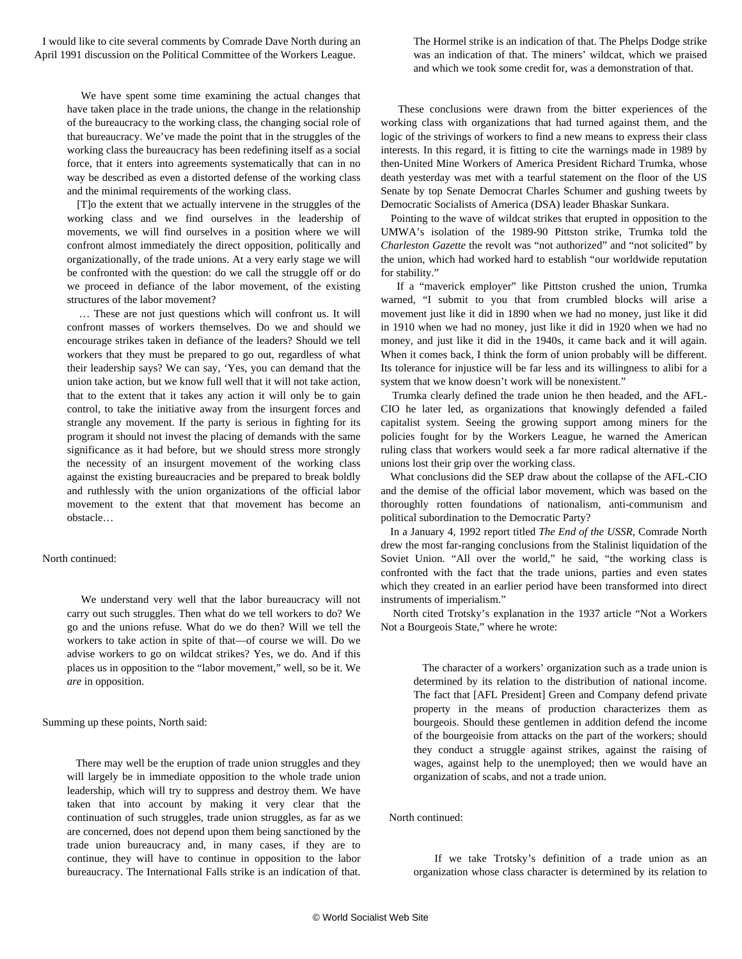I would like to cite several comments by Comrade Dave North during an April 1991 discussion on the Political Committee of the Workers League.

 We have spent some time examining the actual changes that have taken place in the trade unions, the change in the relationship of the bureaucracy to the working class, the changing social role of that bureaucracy. We've made the point that in the struggles of the working class the bureaucracy has been redefining itself as a social force, that it enters into agreements systematically that can in no way be described as even a distorted defense of the working class and the minimal requirements of the working class.

 [T]o the extent that we actually intervene in the struggles of the working class and we find ourselves in the leadership of movements, we will find ourselves in a position where we will confront almost immediately the direct opposition, politically and organizationally, of the trade unions. At a very early stage we will be confronted with the question: do we call the struggle off or do we proceed in defiance of the labor movement, of the existing structures of the labor movement?

 … These are not just questions which will confront us. It will confront masses of workers themselves. Do we and should we encourage strikes taken in defiance of the leaders? Should we tell workers that they must be prepared to go out, regardless of what their leadership says? We can say, 'Yes, you can demand that the union take action, but we know full well that it will not take action, that to the extent that it takes any action it will only be to gain control, to take the initiative away from the insurgent forces and strangle any movement. If the party is serious in fighting for its program it should not invest the placing of demands with the same significance as it had before, but we should stress more strongly the necessity of an insurgent movement of the working class against the existing bureaucracies and be prepared to break boldly and ruthlessly with the union organizations of the official labor movement to the extent that that movement has become an obstacle…

#### North continued:

 We understand very well that the labor bureaucracy will not carry out such struggles. Then what do we tell workers to do? We go and the unions refuse. What do we do then? Will we tell the workers to take action in spite of that—of course we will. Do we advise workers to go on wildcat strikes? Yes, we do. And if this places us in opposition to the "labor movement," well, so be it. We *are* in opposition.

Summing up these points, North said:

 There may well be the eruption of trade union struggles and they will largely be in immediate opposition to the whole trade union leadership, which will try to suppress and destroy them. We have taken that into account by making it very clear that the continuation of such struggles, trade union struggles, as far as we are concerned, does not depend upon them being sanctioned by the trade union bureaucracy and, in many cases, if they are to continue, they will have to continue in opposition to the labor bureaucracy. The International Falls strike is an indication of that.

The Hormel strike is an indication of that. The Phelps Dodge strike was an indication of that. The miners' wildcat, which we praised and which we took some credit for, was a demonstration of that.

 These conclusions were drawn from the bitter experiences of the working class with organizations that had turned against them, and the logic of the strivings of workers to find a new means to express their class interests. In this regard, it is fitting to cite the warnings made in 1989 by then-United Mine Workers of America President Richard Trumka, whose death yesterday was met with a tearful statement on the floor of the US Senate by top Senate Democrat Charles Schumer and gushing tweets by Democratic Socialists of America (DSA) leader Bhaskar Sunkara.

 Pointing to the wave of wildcat strikes that erupted in opposition to the UMWA's isolation of the 1989-90 Pittston strike, Trumka told the *Charleston Gazette* the revolt was "not authorized" and "not solicited" by the union, which had worked hard to establish "our worldwide reputation for stability."

 If a "maverick employer" like Pittston crushed the union, Trumka warned, "I submit to you that from crumbled blocks will arise a movement just like it did in 1890 when we had no money, just like it did in 1910 when we had no money, just like it did in 1920 when we had no money, and just like it did in the 1940s, it came back and it will again. When it comes back, I think the form of union probably will be different. Its tolerance for injustice will be far less and its willingness to alibi for a system that we know doesn't work will be nonexistent."

 Trumka clearly defined the trade union he then headed, and the AFL-CIO he later led, as organizations that knowingly defended a failed capitalist system. Seeing the growing support among miners for the policies fought for by the Workers League, he warned the American ruling class that workers would seek a far more radical alternative if the unions lost their grip over the working class.

 What conclusions did the SEP draw about the collapse of the AFL-CIO and the demise of the official labor movement, which was based on the thoroughly rotten foundations of nationalism, anti-communism and political subordination to the Democratic Party?

 In a January 4, 1992 report titled *[The End of the USSR](/en/articles/2016/12/30/ussr-d30.html)*, Comrade North drew the most far-ranging conclusions from the Stalinist liquidation of the Soviet Union. "All over the world," he said, "the working class is confronted with the fact that the trade unions, parties and even states which they created in an earlier period have been transformed into direct instruments of imperialism."

 North cited Trotsky's explanation in the 1937 article "Not a Workers Not a Bourgeois State," where he wrote:

 The character of a workers' organization such as a trade union is determined by its relation to the distribution of national income. The fact that [AFL President] Green and Company defend private property in the means of production characterizes them as bourgeois. Should these gentlemen in addition defend the income of the bourgeoisie from attacks on the part of the workers; should they conduct a struggle against strikes, against the raising of wages, against help to the unemployed; then we would have an organization of scabs, and not a trade union.

North continued:

 If we take Trotsky's definition of a trade union as an organization whose class character is determined by its relation to